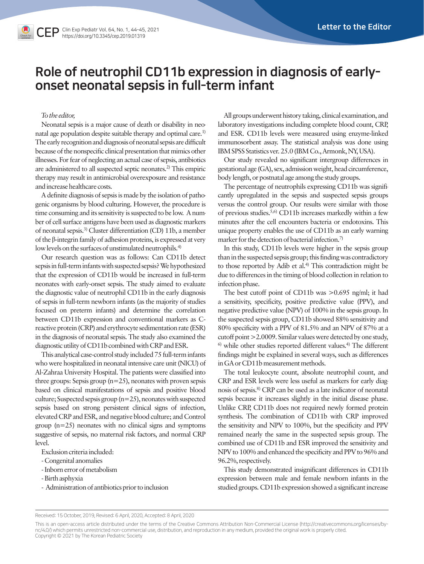# Role of neutrophil CD11b expression in diagnosis of earlyonset neonatal sepsis in full-term infant

### *To the editor,*

Neonatal sepsis is a major cause of death or disability in neonatal age population despite suitable therapy and optimal care.<sup>1)</sup> The early recognition and diagnosis of neonatal sepsis are difficult because of the nonspecific clinical presentation that mimics other illnesses. For fear of neglecting an actual case of sepsis, antibiotics are administered to all suspected septic neonates.2) This empiric therapy may result in antimicrobial overexposure and resistance and increase healthcare costs.

A definite diagnosis of sepsis is made by the isolation of pathogenic organisms by blood culturing. However, the procedure is time consuming and its sensitivity is suspected to be low. A number of cell surface antigens have been used as diagnostic markers of neonatal sepsis.3) Cluster differentiation (CD) 11b, a member of the β-integrin family of adhesion proteins, is expressed at very low levels on the surfaces of unstimulated neutrophils.<sup>4)</sup>

Our research question was as follows: Can CD11b detect sepsis in full-term infants with suspected sepsis? We hypothesized that the expression of CD11b would be increased in full-term neonates with early-onset sepsis. The study aimed to evaluate the diagnostic value of neutrophil CD11b in the early diagnosis of sepsis in full-term newborn infants (as the majority of studies focused on preterm infants) and determine the correlation between CD11b expression and conventional markers as Creactive protein (CRP) and erythrocyte sedimentation rate (ESR) in the diagnosis of neonatal sepsis. The study also examined the diagnostic utility of CD11b combined with CRP and ESR.

This analytical case-control study included 75 full-term infants who were hospitalized in neonatal intensive care unit (NICU) of Al-Zahraa University Hospital. The patients were classified into three groups: Sepsis group  $(n=25)$ , neonates with proven sepsis based on clinical manifestations of sepsis and positive blood culture; Suspected sepsis group (n=25), neonates with suspected sepsis based on strong persistent clinical signs of infection, elevated CRP and ESR, and negative blood culture; and Control group  $(n=25)$  neonates with no clinical signs and symptoms suggestive of sepsis, no maternal risk factors, and normal CRP level.

Exclusion criteria included:

- Congenital anomalies
- Inborn error of metabolism
- Birth asphyxia
- Administration of antibiotics prior to inclusion

All groups underwent history taking, clinical examination, and laboratory investigations including complete blood count, CRP, and ESR. CD11b levels were measured using enzyme-linked immunosorbent assay. The statistical analysis was done using IBM SPSS Statistics ver. 25.0 (IBM Co., Armonk, NY, USA).

Our study revealed no significant intergroup differences in gestational age (GA), sex, admission weight, head circumference, body length, or postnatal age among the study groups.

The percentage of neutrophils expressing CD11b was significantly upregulated in the sepsis and suspected sepsis groups versus the control group. Our results were similar with those of previous studies.5,6) CD11b increases markedly within a few minutes after the cell encounters bacteria or endotoxins. This unique property enables the use of CD11b as an early warning marker for the detection of bacterial infection.<sup>7)</sup>

In this study, CD11b levels were higher in the sepsis group than in the suspected sepsis group; this finding was contradictory to those reported by Adib et al.<sup>4)</sup> This contradiction might be due to differences in the timing of blood collection in relation to infection phase.

The best cutoff point of CD11b was >0.695 ng/ml; it had a sensitivity, specificity, positive predictive value (PPV), and negative predictive value (NPV) of 100% in the sepsis group. In the suspected sepsis group, CD11b showed 88% sensitivity and 80% specificity with a PPV of 81.5% and an NPV of 87% at a cutoff point >2.0009. Similar values were detected by one study,  $6$ ) while other studies reported different values.<sup>4)</sup> The different findings might be explained in several ways, such as differences in GA or CD11b measurement methods.

The total leukocyte count, absolute neutrophil count, and CRP and ESR levels were less useful as markers for early diagnosis of sepsis.8) CRP can be used as a late indicator of neonatal sepsis because it increases slightly in the initial disease phase. Unlike CRP, CD11b does not required newly formed protein synthesis. The combination of CD11b with CRP improved the sensitivity and NPV to 100%, but the specificity and PPV remained nearly the same in the suspected sepsis group. The combined use of CD11b and ESR improved the sensitivity and NPV to 100% and enhanced the specificity and PPV to 96% and 96.2%, respectively.

This study demonstrated insignificant differences in CD11b expression between male and female newborn infants in the studied groups. CD11b expression showed a significant increase

Received: 15 October, 2019, Revised: 6 April, 2020, Accepted: 8 April, 2020

This is an open-access article distributed under the terms of the Creative Commons Attribution Non-Commercial License [\(http://creativecommons.org/licenses/by](http://creativecommons.org/licenses/by)nc/4.0/) which permits unrestricted non-commercial use, distribution, and reproduction in any medium, provided the original work is properly cited. Copyright © 2021 by The Korean Pediatric Society